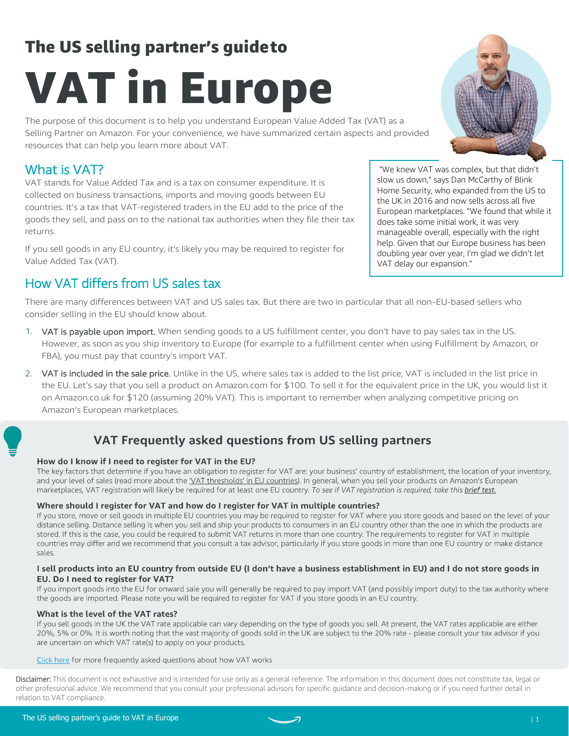## The US selling partner's guideto

# VAT in Europe

The purpose of this document is to help you understand European Value Added Tax (VAT) as a Selling Partner on Amazon. For your convenience, we have summarized certain aspects and provided resources that can help you learn more about VAT.

### What is VAT?

VAT stands for Value Added Tax and is a tax on consumer expenditure. It is collected on business transactions, imports and moving goods between EU countries. It's a tax that VAT-registered traders in the EU add to the price of the goods they sell, and pass on to the national tax authorities when they file their tax returns.

If you sell goods in any EU country, it's likely you may be required to register for Value Added Tax (VAT).

## How VAT differs from US sales tax

There are many differences between VAT and US sales tax. But there are two in particular that all non-EU-based sellers who consider selling in the EU should know about.

- 1. VAT is payable upon import. When sending goods to a US fulfillment center, you don't have to pay sales tax in the US. However, as soon as you ship inventory to Europe (for example to a fulfillment center when using Fulfillment by Amazon, or FBA), you must pay that country's import VAT.
- 2. VAT is included in the sale price. Unlike in the US, where sales tax is added to the list price, VAT is included in the list price in the EU. Let's say that you sell a product on Amazon.com for \$100. To sell it for the equivalent price in the UK, you would list it on Amazon.co.uk for \$120 (assuming 20% VAT). This is important to remember when analyzing competitive pricing on Amazon's European marketplaces.

## VAT Frequently asked questions from US selling partners

#### How do I know if I need to register for VAT in the EU?

The key factors that determine if you have an obligation to register for VAT are: your business' country of establishment, the location of your inventory, and your level of sales (read more about the 'VAT thresholds' in EU countries). In general, when you sell your products on Amazon's European marketplaces, VAT registration will likely be required for at least one EU country. To see if VAT registration is required, take this brief test.

#### Where should I register for VAT and how do I register for VAT in multiple countries?

If you store, move or sell goods in multiple EU countries you may be required to register for VAT where you store goods and based on the level of your distance selling. Distance selling is when you sell and ship your products to consumers in an EU country other than the one in which the products are stored. If this is the case, you could be required to submit VAT returns in more than one country. The requirements to register for VAT in multiple countries may differ and we recommend that you consult a tax advisor, particularly if you store goods in more than one EU country or make distance sales.

#### I sell products into an EU country from outside EU (I don't have a business establishment in EU) and I do not store goods in EU. Do I need to register for VAT?

If you import goods into the EU for onward sale you will generally be required to pay import VAT (and possibly import duty) to the tax authority where the goods are imported. Please note you will be required to register for VAT if you store goods in an EU country.

#### What is the level of the VAT rates?

If you sell goods in the UK the VAT rate applicable can vary depending on the type of goods you sell. At present, the VAT rates applicable are either 20%, 5% or 0%. It is worth noting that the vast majority of goods sold in the UK are subject to the 20% rate - please consult your tax advisor if you are uncertain on which VAT rate(s) to apply on your products.

#### Click here for more frequently asked questions about how VAT works

Disclaimer: This document is not exhaustive and is intended for use only as a general reference. The information in this document does not constitute tax, legal or other professional advice. We recommend that you consult your professional advisors for specific guidance and decision-making or if you need further detail in relation to VAT compliance.





"We knew VAT was complex, but that didn't slow us down," says Dan McCarthy of Blink Home Security, who expanded from the US to the UK in 2016 and now sells across all five European marketplaces. "We found that while it

does take some initial work, it was very manageable overall, especially with the right help. Given that our Europe business has been doubling year over year, I'm glad we didn't let

VAT delay our expansion."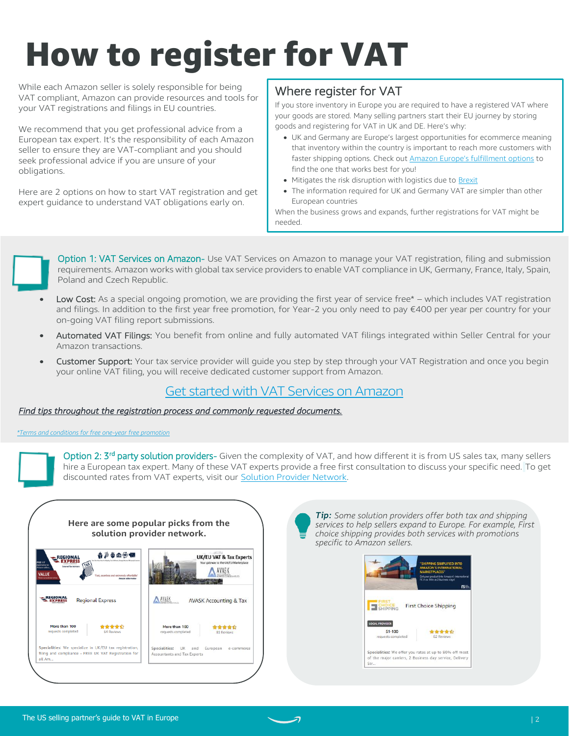# How to register for VAT

While each Amazon seller is solely responsible for being VAT compliant, Amazon can provide resources and tools for your VAT registrations and filings in EU countries.

We recommend that you get professional advice from a European tax expert. It's the responsibility of each Amazon seller to ensure they are VAT-compliant and you should seek professional advice if you are unsure of your obligations.

Here are 2 options on how to start VAT registration and get expert guidance to understand VAT obligations early on.

### Where register for VAT

If you store inventory in Europe you are required to have a registered VAT where your goods are stored. Many selling partners start their EU journey by storing goods and registering for VAT in UK and DE. Here's why:

- UK and Germany are Europe's largest opportunities for ecommerce meaning that inventory within the country is important to reach more customers with faster shipping options. Check out **[Amazon Europe's fulfillment options](https://services.amazon.co.uk/services/fulfilment-by-amazon/unified-account-and-efn.html?tag=googhydr-20&ld=ASUSAGSE2EHome_googhydr-20)** to find the one that works best for you!
- Mitigates the risk disruption with logistics due to [Brexit](https://sellercentral-europe.amazon.com/gp/help/G9KF67HWNN2FQ2NJ)
- The information required for UK and Germany VAT are simpler than other European countries

When the business grows and expands, further registrations for VAT might be needed.



- Low Cost: As a special ongoing promotion, we are providing the first year of service free\* which includes VAT registration and filings. In addition to the first year free promotion, for Year-2 you only need to pay €400 per year per country for your on-going VAT filing report submissions.
- Automated VAT Filings: You benefit from online and fully automated VAT filings integrated within Seller Central for your Amazon transactions.
- Customer Support: Your tax service provider will guide you step by step through your VAT Registration and once you begin your online VAT filing, you will receive dedicated customer support from Amazon.

#### Get started [with VAT Services on Amazon](https://services.amazon.co.uk/services/vat-services-on-amazon-partner-powered.html)

#### *[Find tips throughout the registration process and commonly requested documents.](#page-2-0)*

*[\\*Terms and conditions for free one-year free promotion](https://m.media-amazon.com/images/G/02/VISA/Provider_Powered_Tax_Services_Promotion_TCs_19_March_2020._CB1198675309_.pdf)*

Option 2: 3<sup>rd</sup> party solution providers- Given the complexity of VAT, and how different it is from US sales tax, many sellers hire a European tax expert. Many of these VAT experts provide a free first consultation to discuss your specific need. To get discounted rates from VAT experts, visit our [Solution Provider Network.](https://sellercentral.amazon.com/gspn/searchpage/Taxes?ref_=sc_gspn_hp_talst&sellFrom=US&sellIn=UK&localeSelection=en_US)



**Tip:** Some solution providers offer both tax and shipping services to help sellers expand to Europe. For example, First choice shipping provides both services with promotions specific to Amazon sellers.